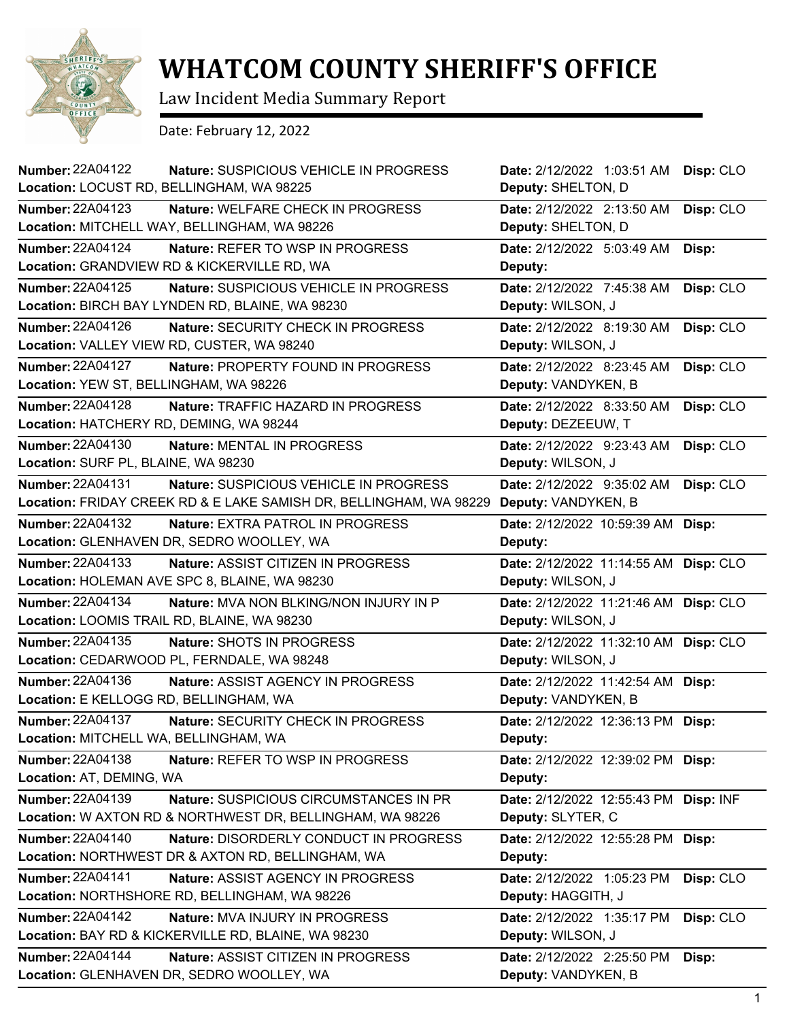

## **WHATCOM COUNTY SHERIFF'S OFFICE**

Law Incident Media Summary Report

Date: February 12, 2022

| <b>Number: 22A04122</b><br>Nature: SUSPICIOUS VEHICLE IN PROGRESS<br>Location: LOCUST RD, BELLINGHAM, WA 98225 | Date: 2/12/2022 1:03:51 AM<br>Deputy: SHELTON, D | Disp: CLO |
|----------------------------------------------------------------------------------------------------------------|--------------------------------------------------|-----------|
| <b>Number: 22A04123</b><br>Nature: WELFARE CHECK IN PROGRESS                                                   | Date: 2/12/2022 2:13:50 AM                       | Disp: CLO |
| Location: MITCHELL WAY, BELLINGHAM, WA 98226                                                                   | Deputy: SHELTON, D                               |           |
| Number: 22A04124<br>Nature: REFER TO WSP IN PROGRESS                                                           | Date: 2/12/2022 5:03:49 AM                       | Disp:     |
| Location: GRANDVIEW RD & KICKERVILLE RD, WA                                                                    | Deputy:                                          |           |
| <b>Number: 22A04125</b><br>Nature: SUSPICIOUS VEHICLE IN PROGRESS                                              | Date: 2/12/2022 7:45:38 AM                       | Disp: CLO |
| Location: BIRCH BAY LYNDEN RD, BLAINE, WA 98230                                                                | Deputy: WILSON, J                                |           |
| <b>Number: 22A04126</b><br>Nature: SECURITY CHECK IN PROGRESS                                                  | Date: 2/12/2022 8:19:30 AM                       | Disp: CLO |
| Location: VALLEY VIEW RD, CUSTER, WA 98240                                                                     | Deputy: WILSON, J                                |           |
| <b>Number: 22A04127</b><br>Nature: PROPERTY FOUND IN PROGRESS                                                  | Date: 2/12/2022 8:23:45 AM                       | Disp: CLO |
| Location: YEW ST, BELLINGHAM, WA 98226                                                                         | Deputy: VANDYKEN, B                              |           |
| Number: 22A04128<br><b>Nature: TRAFFIC HAZARD IN PROGRESS</b>                                                  | Date: 2/12/2022 8:33:50 AM                       | Disp: CLO |
| Location: HATCHERY RD, DEMING, WA 98244                                                                        | Deputy: DEZEEUW, T                               |           |
| <b>Number: 22A04130</b><br>Nature: MENTAL IN PROGRESS                                                          | Date: 2/12/2022 9:23:43 AM                       | Disp: CLO |
| Location: SURF PL, BLAINE, WA 98230                                                                            | Deputy: WILSON, J                                |           |
| Number: 22A04131<br>Nature: SUSPICIOUS VEHICLE IN PROGRESS                                                     | Date: 2/12/2022 9:35:02 AM                       | Disp: CLO |
| Location: FRIDAY CREEK RD & E LAKE SAMISH DR, BELLINGHAM, WA 98229                                             | Deputy: VANDYKEN, B                              |           |
| Number: 22A04132<br>Nature: EXTRA PATROL IN PROGRESS                                                           | Date: 2/12/2022 10:59:39 AM                      | Disp:     |
| Location: GLENHAVEN DR, SEDRO WOOLLEY, WA                                                                      | Deputy:                                          |           |
| <b>Number: 22A04133</b><br><b>Nature: ASSIST CITIZEN IN PROGRESS</b>                                           | Date: 2/12/2022 11:14:55 AM                      | Disp: CLO |
| Location: HOLEMAN AVE SPC 8, BLAINE, WA 98230                                                                  | Deputy: WILSON, J                                |           |
| <b>Number: 22A04134</b><br>Nature: MVA NON BLKING/NON INJURY IN P                                              | Date: 2/12/2022 11:21:46 AM                      | Disp: CLO |
| Location: LOOMIS TRAIL RD, BLAINE, WA 98230                                                                    | Deputy: WILSON, J                                |           |
| Number: 22A04135<br>Nature: SHOTS IN PROGRESS                                                                  | Date: 2/12/2022 11:32:10 AM                      | Disp: CLO |
| Location: CEDARWOOD PL, FERNDALE, WA 98248                                                                     | Deputy: WILSON, J                                |           |
| <b>Number: 22A04136</b><br>Nature: ASSIST AGENCY IN PROGRESS                                                   | Date: 2/12/2022 11:42:54 AM                      | Disp:     |
| Location: E KELLOGG RD, BELLINGHAM, WA                                                                         | Deputy: VANDYKEN, B                              |           |
| <b>Number: 22A04137</b><br>Nature: SECURITY CHECK IN PROGRESS                                                  | Date: 2/12/2022 12:36:13 PM Disp:                |           |
| Location: MITCHELL WA, BELLINGHAM, WA                                                                          | Deputy:                                          |           |
| Number: 22A04138<br>Nature: REFER TO WSP IN PROGRESS                                                           | Date: 2/12/2022 12:39:02 PM                      | Disp:     |
| Location: AT, DEMING, WA                                                                                       | Deputy:                                          |           |
| <b>Number: 22A04139</b><br>Nature: SUSPICIOUS CIRCUMSTANCES IN PR                                              | Date: 2/12/2022 12:55:43 PM                      | Disp: INF |
| Location: W AXTON RD & NORTHWEST DR, BELLINGHAM, WA 98226                                                      | Deputy: SLYTER, C                                |           |
| <b>Number: 22A04140</b><br>Nature: DISORDERLY CONDUCT IN PROGRESS                                              | Date: 2/12/2022 12:55:28 PM                      | Disp:     |
| Location: NORTHWEST DR & AXTON RD, BELLINGHAM, WA                                                              | Deputy:                                          |           |
| <b>Number: 22A04141</b><br>Nature: ASSIST AGENCY IN PROGRESS                                                   | Date: 2/12/2022 1:05:23 PM                       | Disp: CLO |
| Location: NORTHSHORE RD, BELLINGHAM, WA 98226                                                                  | Deputy: HAGGITH, J                               |           |
| Number: 22A04142<br>Nature: MVA INJURY IN PROGRESS                                                             | Date: 2/12/2022 1:35:17 PM                       | Disp: CLO |
| Location: BAY RD & KICKERVILLE RD, BLAINE, WA 98230                                                            | Deputy: WILSON, J                                |           |
| <b>Number: 22A04144</b><br>Nature: ASSIST CITIZEN IN PROGRESS                                                  | Date: 2/12/2022 2:25:50 PM                       | Disp:     |
| Location: GLENHAVEN DR, SEDRO WOOLLEY, WA                                                                      | Deputy: VANDYKEN, B                              |           |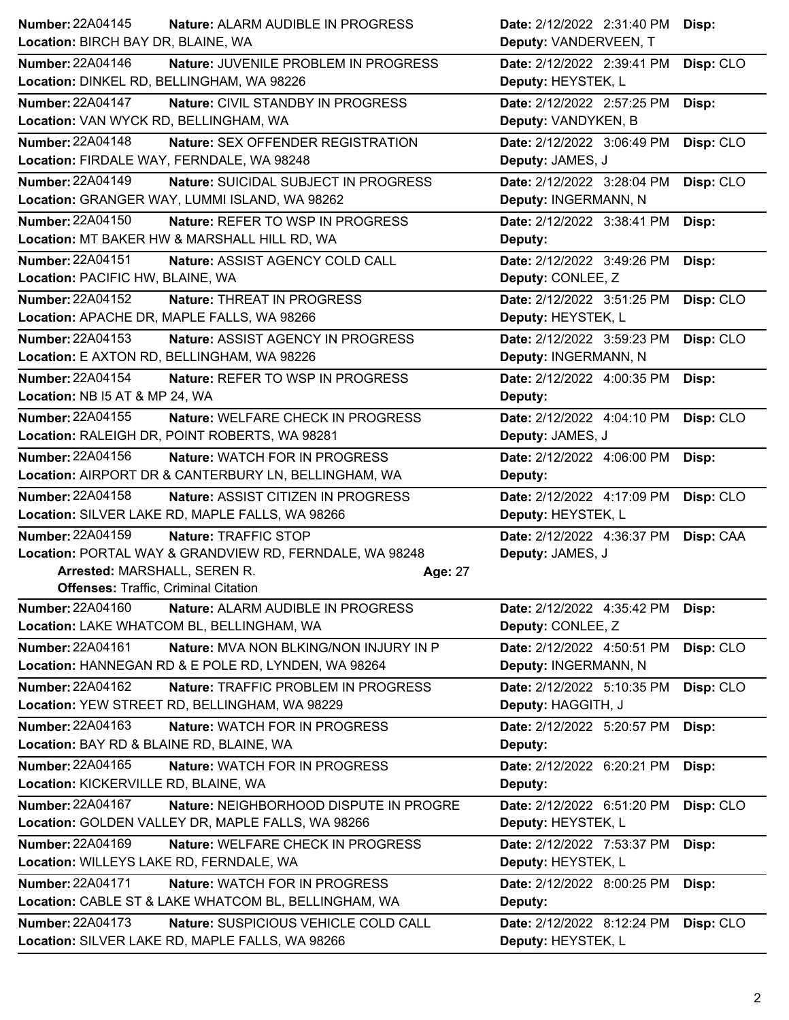| <b>Number: 22A04145</b><br>Nature: ALARM AUDIBLE IN PROGRESS        | Date: 2/12/2022 2:31:40 PM<br>Disp:     |  |
|---------------------------------------------------------------------|-----------------------------------------|--|
| Location: BIRCH BAY DR, BLAINE, WA                                  | Deputy: VANDERVEEN, T                   |  |
| <b>Number: 22A04146</b><br>Nature: JUVENILE PROBLEM IN PROGRESS     | Date: 2/12/2022 2:39:41 PM<br>Disp: CLO |  |
| Location: DINKEL RD, BELLINGHAM, WA 98226                           | Deputy: HEYSTEK, L                      |  |
| <b>Number: 22A04147</b><br>Nature: CIVIL STANDBY IN PROGRESS        | Date: 2/12/2022 2:57:25 PM<br>Disp:     |  |
| Location: VAN WYCK RD, BELLINGHAM, WA                               | Deputy: VANDYKEN, B                     |  |
| Number: 22A04148<br>Nature: SEX OFFENDER REGISTRATION               | Date: 2/12/2022 3:06:49 PM<br>Disp: CLO |  |
| Location: FIRDALE WAY, FERNDALE, WA 98248                           | Deputy: JAMES, J                        |  |
| Number: 22A04149<br>Nature: SUICIDAL SUBJECT IN PROGRESS            | Date: 2/12/2022 3:28:04 PM<br>Disp: CLO |  |
| Location: GRANGER WAY, LUMMI ISLAND, WA 98262                       | Deputy: INGERMANN, N                    |  |
| Number: 22A04150<br>Nature: REFER TO WSP IN PROGRESS                | Date: 2/12/2022 3:38:41 PM<br>Disp:     |  |
| Location: MT BAKER HW & MARSHALL HILL RD, WA                        | Deputy:                                 |  |
| <b>Number: 22A04151</b><br>Nature: ASSIST AGENCY COLD CALL          | Date: 2/12/2022 3:49:26 PM<br>Disp:     |  |
| Location: PACIFIC HW, BLAINE, WA                                    | Deputy: CONLEE, Z                       |  |
| <b>Number: 22A04152</b><br><b>Nature: THREAT IN PROGRESS</b>        | Date: 2/12/2022 3:51:25 PM<br>Disp: CLO |  |
| Location: APACHE DR, MAPLE FALLS, WA 98266                          | Deputy: HEYSTEK, L                      |  |
| <b>Number: 22A04153</b><br><b>Nature: ASSIST AGENCY IN PROGRESS</b> | Date: 2/12/2022 3:59:23 PM<br>Disp: CLO |  |
| Location: E AXTON RD, BELLINGHAM, WA 98226                          | Deputy: INGERMANN, N                    |  |
| <b>Number: 22A04154</b><br>Nature: REFER TO WSP IN PROGRESS         | Date: 2/12/2022 4:00:35 PM<br>Disp:     |  |
| Location: NB I5 AT & MP 24, WA                                      | Deputy:                                 |  |
| <b>Number: 22A04155</b><br>Nature: WELFARE CHECK IN PROGRESS        | Disp: CLO<br>Date: 2/12/2022 4:04:10 PM |  |
| Location: RALEIGH DR, POINT ROBERTS, WA 98281                       | Deputy: JAMES, J                        |  |
| Number: 22A04156<br><b>Nature: WATCH FOR IN PROGRESS</b>            | Date: 2/12/2022 4:06:00 PM<br>Disp:     |  |
| Location: AIRPORT DR & CANTERBURY LN, BELLINGHAM, WA                | Deputy:                                 |  |
|                                                                     |                                         |  |
| <b>Number: 22A04158</b><br>Nature: ASSIST CITIZEN IN PROGRESS       | Date: 2/12/2022 4:17:09 PM<br>Disp: CLO |  |
| Location: SILVER LAKE RD, MAPLE FALLS, WA 98266                     | Deputy: HEYSTEK, L                      |  |
| <b>Number: 22A04159</b><br>Nature: TRAFFIC STOP                     | Date: 2/12/2022 4:36:37 PM<br>Disp: CAA |  |
| Location: PORTAL WAY & GRANDVIEW RD, FERNDALE, WA 98248             | Deputy: JAMES, J                        |  |
| Arrested: MARSHALL, SEREN R.<br>Age: 27                             |                                         |  |
| <b>Offenses: Traffic, Criminal Citation</b>                         |                                         |  |
| Number: 22A04160<br>Nature: ALARM AUDIBLE IN PROGRESS               | Date: 2/12/2022 4:35:42 PM<br>Disp:     |  |
| Location: LAKE WHATCOM BL, BELLINGHAM, WA                           | Deputy: CONLEE, Z                       |  |
| Number: 22A04161<br>Nature: MVA NON BLKING/NON INJURY IN P          | Date: 2/12/2022 4:50:51 PM<br>Disp: CLO |  |
| Location: HANNEGAN RD & E POLE RD, LYNDEN, WA 98264                 | Deputy: INGERMANN, N                    |  |
| Number: 22A04162<br>Nature: TRAFFIC PROBLEM IN PROGRESS             | Date: 2/12/2022 5:10:35 PM<br>Disp: CLO |  |
| Location: YEW STREET RD, BELLINGHAM, WA 98229                       | Deputy: HAGGITH, J                      |  |
| Number: 22A04163<br>Nature: WATCH FOR IN PROGRESS                   | Date: 2/12/2022 5:20:57 PM<br>Disp:     |  |
| Location: BAY RD & BLAINE RD, BLAINE, WA                            | Deputy:                                 |  |
| Number: 22A04165<br><b>Nature: WATCH FOR IN PROGRESS</b>            | Date: 2/12/2022 6:20:21 PM<br>Disp:     |  |
| Location: KICKERVILLE RD, BLAINE, WA                                | Deputy:                                 |  |
| <b>Number: 22A04167</b><br>Nature: NEIGHBORHOOD DISPUTE IN PROGRE   | Disp: CLO<br>Date: 2/12/2022 6:51:20 PM |  |
| Location: GOLDEN VALLEY DR, MAPLE FALLS, WA 98266                   | Deputy: HEYSTEK, L                      |  |
| Number: 22A04169<br>Nature: WELFARE CHECK IN PROGRESS               | Date: 2/12/2022 7:53:37 PM<br>Disp:     |  |
| Location: WILLEYS LAKE RD, FERNDALE, WA                             | Deputy: HEYSTEK, L                      |  |
| Number: 22A04171<br>Nature: WATCH FOR IN PROGRESS                   | Date: 2/12/2022 8:00:25 PM<br>Disp:     |  |
| Location: CABLE ST & LAKE WHATCOM BL, BELLINGHAM, WA                | Deputy:                                 |  |
| Number: 22A04173<br>Nature: SUSPICIOUS VEHICLE COLD CALL            | Date: 2/12/2022 8:12:24 PM<br>Disp: CLO |  |